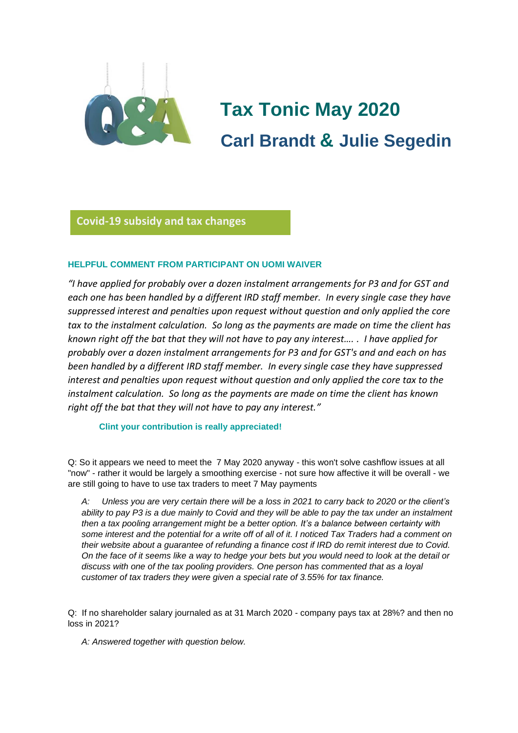

# **Tax Tonic May 2020 Carl Brandt & Julie Segedin**

# **Covid-19 subsidy and tax changes**

# **HELPFUL COMMENT FROM PARTICIPANT ON UOMI WAIVER Glorio**

*"I have applied for probably over a dozen instalment arrangements for P3 and for GST and each one has been handled by a different IRD staff member. In every single case they have suppressed interest and penalties upon request without question and only applied the core tax to the instalment calculation. So long as the payments are made on time the client has known right off the bat that they will not have to pay any interest…. . I have applied for probably over a dozen instalment arrangements for P3 and for GST's and and each on has been handled by a different IRD staff member. In every single case they have suppressed interest and penalties upon request without question and only applied the core tax to the instalment calculation. So long as the payments are made on time the client has known right off the bat that they will not have to pay any interest."*

#### **Clint your contribution is really appreciated!**

Q: So it appears we need to meet the 7 May 2020 anyway - this won't solve cashflow issues at all "now" - rather it would be largely a smoothing exercise - not sure how affective it will be overall - we are still going to have to use tax traders to meet 7 May payments

*A: Unless you are very certain there will be a loss in 2021 to carry back to 2020 or the client's ability to pay P3 is a due mainly to Covid and they will be able to pay the tax under an instalment then a tax pooling arrangement might be a better option. It's a balance between certainty with some interest and the potential for a write off of all of it. I noticed Tax Traders had a comment on their website about a guarantee of refunding a finance cost if IRD do remit interest due to Covid. On the face of it seems like a way to hedge your bets but you would need to look at the detail or discuss with one of the tax pooling providers. One person has commented that as a loyal customer of tax traders they were given a special rate of 3.55% for tax finance.*

Q: If no shareholder salary journaled as at 31 March 2020 - company pays tax at 28%? and then no loss in 2021?

*A: Answered together with question below.*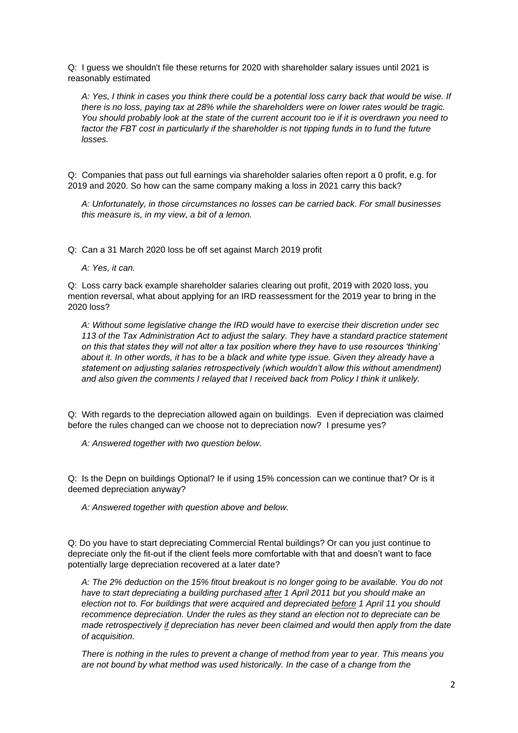Q: I guess we shouldn't file these returns for 2020 with shareholder salary issues until 2021 is reasonably estimated

*A: Yes, I think in cases you think there could be a potential loss carry back that would be wise. If there is no loss, paying tax at 28% while the shareholders were on lower rates would be tragic. You should probably look at the state of the current account too ie if it is overdrawn you need to factor the FBT cost in particularly if the shareholder is not tipping funds in to fund the future losses.*

Q: Companies that pass out full earnings via shareholder salaries often report a 0 profit, e.g. for 2019 and 2020. So how can the same company making a loss in 2021 carry this back?

*A: Unfortunately, in those circumstances no losses can be carried back. For small businesses this measure is, in my view, a bit of a lemon.*

Q: Can a 31 March 2020 loss be off set against March 2019 profit

*A: Yes, it can.*

Q: Loss carry back example shareholder salaries clearing out profit, 2019 with 2020 loss, you mention reversal, what about applying for an IRD reassessment for the 2019 year to bring in the 2020 loss?

*A: Without some legislative change the IRD would have to exercise their discretion under sec 113 of the Tax Administration Act to adjust the salary. They have a standard practice statement on this that states they will not alter a tax position where they have to use resources 'thinking' about it. In other words, it has to be a black and white type issue. Given they already have a statement on adjusting salaries retrospectively (which wouldn't allow this without amendment) and also given the comments I relayed that I received back from Policy I think it unlikely.*

Q: With regards to the depreciation allowed again on buildings. Even if depreciation was claimed before the rules changed can we choose not to depreciation now? I presume yes?

*A: Answered together with two question below.*

Q: Is the Depn on buildings Optional? Ie if using 15% concession can we continue that? Or is it deemed depreciation anyway?

*A: Answered together with question above and below.*

Q: Do you have to start depreciating Commercial Rental buildings? Or can you just continue to depreciate only the fit-out if the client feels more comfortable with that and doesn't want to face potentially large depreciation recovered at a later date?

*A: The 2% deduction on the 15% fitout breakout is no longer going to be available. You do not have to start depreciating a building purchased after 1 April 2011 but you should make an election not to. For buildings that were acquired and depreciated before 1 April 11 you should recommence depreciation. Under the rules as they stand an election not to depreciate can be made retrospectively if depreciation has never been claimed and would then apply from the date of acquisition.*

*There is nothing in the rules to prevent a change of method from year to year. This means you are not bound by what method was used historically. In the case of a change from the*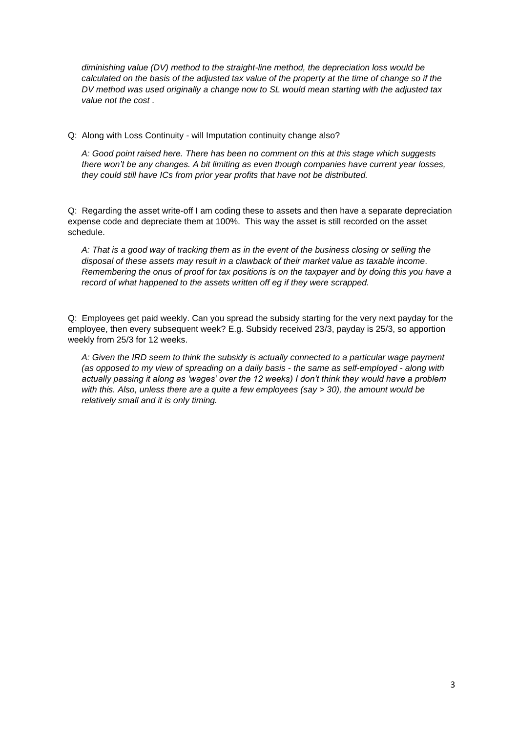*diminishing value (DV) method to the straight-line method, the depreciation loss would be calculated on the basis of the adjusted tax value of the property at the time of change so if the DV method was used originally a change now to SL would mean starting with the adjusted tax value not the cost .* 

Q: Along with Loss Continuity - will Imputation continuity change also?

*A: Good point raised here. There has been no comment on this at this stage which suggests there won't be any changes. A bit limiting as even though companies have current year losses, they could still have ICs from prior year profits that have not be distributed.* 

Q: Regarding the asset write-off I am coding these to assets and then have a separate depreciation expense code and depreciate them at 100%. This way the asset is still recorded on the asset schedule.

*A: That is a good way of tracking them as in the event of the business closing or selling the disposal of these assets may result in a clawback of their market value as taxable income. Remembering the onus of proof for tax positions is on the taxpayer and by doing this you have a record of what happened to the assets written off eg if they were scrapped.*

Q: Employees get paid weekly. Can you spread the subsidy starting for the very next payday for the employee, then every subsequent week? E.g. Subsidy received 23/3, payday is 25/3, so apportion weekly from 25/3 for 12 weeks.

*A: Given the IRD seem to think the subsidy is actually connected to a particular wage payment (as opposed to my view of spreading on a daily basis - the same as self-employed - along with actually passing it along as 'wages' over the 12 weeks) I don't think they would have a problem with this. Also, unless there are a quite a few employees (say > 30), the amount would be relatively small and it is only timing.*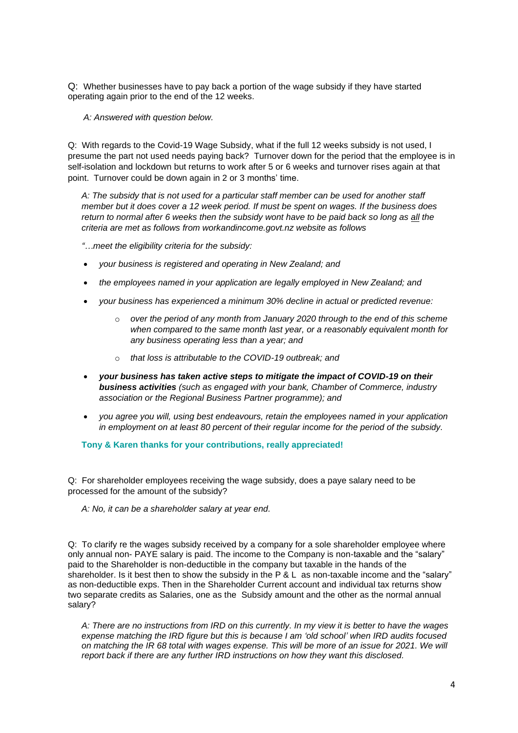Q: Whether businesses have to pay back a portion of the wage subsidy if they have started operating again prior to the end of the 12 weeks.

*A: Answered with question below.*

Q: With regards to the Covid-19 Wage Subsidy, what if the full 12 weeks subsidy is not used, I presume the part not used needs paying back? Turnover down for the period that the employee is in self-isolation and lockdown but returns to work after 5 or 6 weeks and turnover rises again at that point. Turnover could be down again in 2 or 3 months' time.

*A: The subsidy that is not used for a particular staff member can be used for another staff member but it does cover a 12 week period. If must be spent on wages. If the business does return to normal after 6 weeks then the subsidy wont have to be paid back so long as all the criteria are met as follows from workandincome.govt.nz website as follows*

*"…meet the eligibility criteria for the subsidy:*

- *your business is registered and operating in New Zealand; and*
- *the employees named in your application are legally employed in New Zealand; and*
- *your business has experienced a minimum 30% decline in actual or predicted revenue:*
	- o *over the period of any month from January 2020 through to the end of this scheme when compared to the same month last year, or a reasonably equivalent month for any business operating less than a year; and*
	- o *that loss is attributable to the COVID-19 outbreak; and*
- *your business has taken active steps to mitigate the impact of COVID-19 on their business activities (such as engaged with your bank, Chamber of Commerce, industry association or the Regional Business Partner programme); and*
- *you agree you will, using best endeavours, retain the employees named in your application in employment on at least 80 percent of their regular income for the period of the subsidy.*

**Tony & Karen thanks for your contributions, really appreciated!**

Q: For shareholder employees receiving the wage subsidy, does a paye salary need to be processed for the amount of the subsidy?

*A: No, it can be a shareholder salary at year end.*

Q: To clarify re the wages subsidy received by a company for a sole shareholder employee where only annual non- PAYE salary is paid. The income to the Company is non-taxable and the "salary" paid to the Shareholder is non-deductible in the company but taxable in the hands of the shareholder. Is it best then to show the subsidy in the P & L as non-taxable income and the "salary" as non-deductible exps. Then in the Shareholder Current account and individual tax returns show two separate credits as Salaries, one as the Subsidy amount and the other as the normal annual salary?

*A: There are no instructions from IRD on this currently. In my view it is better to have the wages expense matching the IRD figure but this is because I am 'old school' when IRD audits focused on matching the IR 68 total with wages expense. This will be more of an issue for 2021. We will report back if there are any further IRD instructions on how they want this disclosed.*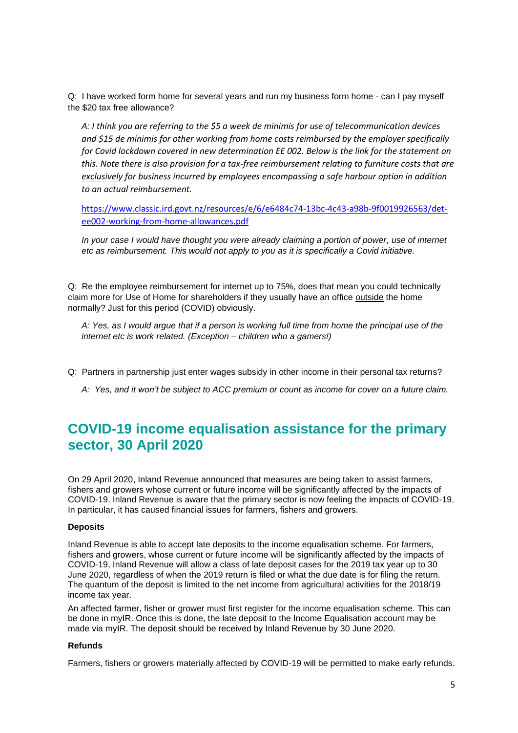Q: I have worked form home for several years and run my business form home - can I pay myself the \$20 tax free allowance?

*A: I think you are referring to the \$5 a week de minimis for use of telecommunication devices and \$15 de minimis for other working from home costs reimbursed by the employer specifically for Covid lockdown covered in new determination EE 002. Below is the link for the statement on this. Note there is also provision for a tax-free reimbursement relating to furniture costs that are exclusively for business incurred by employees encompassing a safe harbour option in addition to an actual reimbursement.* 

[https://www.classic.ird.govt.nz/resources/e/6/e6484c74-13bc-4c43-a98b-9f0019926563/det](https://www.classic.ird.govt.nz/resources/e/6/e6484c74-13bc-4c43-a98b-9f0019926563/det-ee002-working-from-home-allowances.pdf)[ee002-working-from-home-allowances.pdf](https://www.classic.ird.govt.nz/resources/e/6/e6484c74-13bc-4c43-a98b-9f0019926563/det-ee002-working-from-home-allowances.pdf)

*In your case I would have thought you were already claiming a portion of power, use of internet etc as reimbursement. This would not apply to you as it is specifically a Covid initiative.*

Q: Re the employee reimbursement for internet up to 75%, does that mean you could technically claim more for Use of Home for shareholders if they usually have an office outside the home normally? Just for this period (COVID) obviously.

*A: Yes, as I would argue that if a person is working full time from home the principal use of the internet etc is work related. (Exception – children who a gamers!)*

- Q: Partners in partnership just enter wages subsidy in other income in their personal tax returns?
	- *A: Yes, and it won't be subject to ACC premium or count as income for cover on a future claim.*

# **COVID-19 income equalisation assistance for the primary sector, 30 April 2020**

On 29 April 2020, Inland Revenue announced that measures are being taken to assist farmers, fishers and growers whose current or future income will be significantly affected by the impacts of COVID-19. Inland Revenue is aware that the primary sector is now feeling the impacts of COVID-19. In particular, it has caused financial issues for farmers, fishers and growers.

#### **Deposits**

Inland Revenue is able to accept late deposits to the income equalisation scheme. For farmers, fishers and growers, whose current or future income will be significantly affected by the impacts of COVID-19, Inland Revenue will allow a class of late deposit cases for the 2019 tax year up to 30 June 2020, regardless of when the 2019 return is filed or what the due date is for filing the return. The quantum of the deposit is limited to the net income from agricultural activities for the 2018/19 income tax year.

An affected farmer, fisher or grower must first register for the income equalisation scheme. This can be done in myIR. Once this is done, the late deposit to the Income Equalisation account may be made via myIR. The deposit should be received by Inland Revenue by 30 June 2020.

#### **Refunds**

Farmers, fishers or growers materially affected by COVID-19 will be permitted to make early refunds.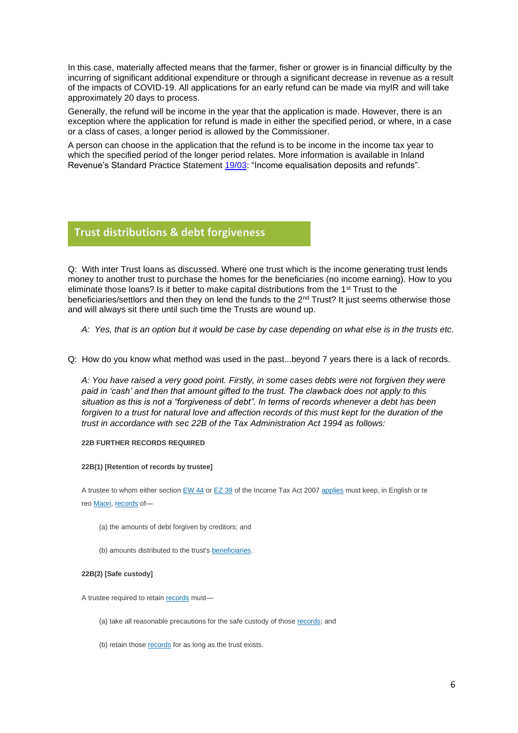In this case, materially affected means that the farmer, fisher or grower is in financial difficulty by the incurring of significant additional expenditure or through a significant decrease in revenue as a result of the impacts of COVID-19. All applications for an early refund can be made via myIR and will take approximately 20 days to process.

Generally, the refund will be income in the year that the application is made. However, there is an exception where the application for refund is made in either the specified period, or where, in a case or a class of cases, a longer period is allowed by the Commissioner.

A person can choose in the application that the refund is to be income in the income tax year to which the specified period of the longer period relates. More information is available in Inland Revenue's Standard Practice Statement [19/03:](http://prod.resource.wkasiapacific.com/resource/scion/citation/pit/io3110743sl1046775697/NTXTNEWS_HANDLE?cfu=WKAP&cpid=WKAP-TAL-IC&uAppCtx=RWI) "Income equalisation deposits and refunds".

## **Trust distributions & debt forgiveness**

Q: With inter Trust loans as discussed. Where one trust which is the income generating trust lends money to another trust to purchase the homes for the beneficiaries (no income earning). How to you eliminate those loans? Is it better to make capital distributions from the 1st Trust to the beneficiaries/settlors and then they on lend the funds to the 2nd Trust? It just seems otherwise those and will always sit there until such time the Trusts are wound up.

- *A: Yes, that is an option but it would be case by case depending on what else is in the trusts etc.*
- Q: How do you know what method was used in the past...beyond 7 years there is a lack of records.

*A: You have raised a very good point. Firstly, in some cases debts were not forgiven they were paid in 'cash' and then that amount gifted to the trust. The clawback does not apply to this situation as this is not a "forgiveness of debt". In terms of records whenever a debt has been forgiven to a trust for natural love and affection records of this must kept for the duration of the trust in accordance with sec 22B of the Tax Administration Act 1994 as follows:*

#### **22B FURTHER RECORDS REQUIRED**

#### **22B(1) [Retention of records by trustee]**

A trustee to whom either section [EW 44](javascript:void(0)) or [EZ 39](javascript:void(0)) of the Income Tax Act 2007 [applies](javascript:void(0)) must keep, in English or te reo [Maori,](javascript:void(0)) [records](javascript:void(0)) of—

- (a) the amounts of debt forgiven by creditors; and
- (b) amounts distributed to the trust's [beneficiaries.](javascript:void(0))

#### **22B(2) [Safe custody]**

A trustee required to retain [records](javascript:void(0)) must—

- (a) take all reasonable precautions for the safe custody of those [records;](javascript:void(0)) and
- (b) retain those [records](javascript:void(0)) for as long as the trust exists.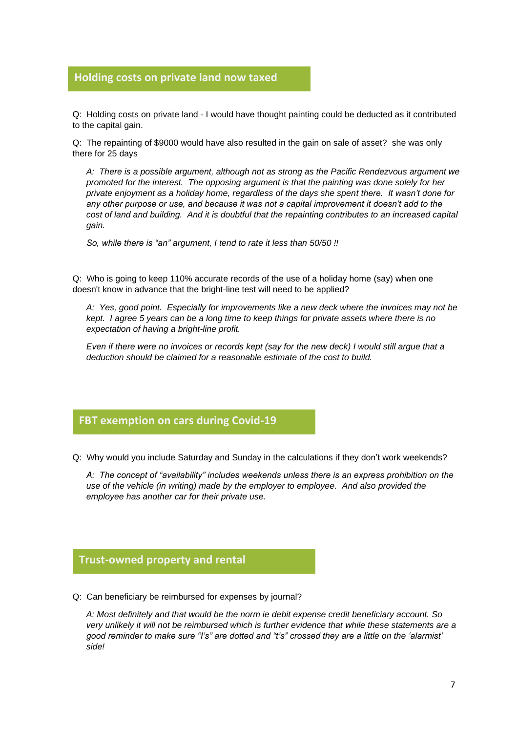## **Holding costs on private land now taxed**

Q: Holding costs on private land - I would have thought painting could be deducted as it contributed **glorio** to the capital gain.

Q: The repainting of \$9000 would have also resulted in the gain on sale of asset? she was only there for 25 days

*A: There is a possible argument, although not as strong as the Pacific Rendezvous argument we promoted for the interest. The opposing argument is that the painting was done solely for her private enjoyment as a holiday home, regardless of the days she spent there. It wasn't done for any other purpose or use, and because it was not a capital improvement it doesn't add to the cost of land and building. And it is doubtful that the repainting contributes to an increased capital gain.*

*So, while there is "an" argument, I tend to rate it less than 50/50 !!*

Q: Who is going to keep 110% accurate records of the use of a holiday home (say) when one doesn't know in advance that the bright-line test will need to be applied?

*A: Yes, good point. Especially for improvements like a new deck where the invoices may not be kept. I agree 5 years can be a long time to keep things for private assets where there is no expectation of having a bright-line profit.*

*Even if there were no invoices or records kept (say for the new deck) I would still argue that a deduction should be claimed for a reasonable estimate of the cost to build.*

## **FBT exemption on cars during Covid-19**

Q: Why would you include Saturday and Sunday in the calculations if they don't work weekends? **glorio**

*A: The concept of "availability" includes weekends unless there is an express prohibition on the use of the vehicle (in writing) made by the employer to employee. And also provided the employee has another car for their private use.*

# **Trust-owned property and rental**

Q: Can beneficiary be reimbursed for expenses by journal? **glorio**

*A: Most definitely and that would be the norm ie debit expense credit beneficiary account. So very unlikely it will not be reimbursed which is further evidence that while these statements are a good reminder to make sure "I's" are dotted and "t's" crossed they are a little on the 'alarmist' side!*